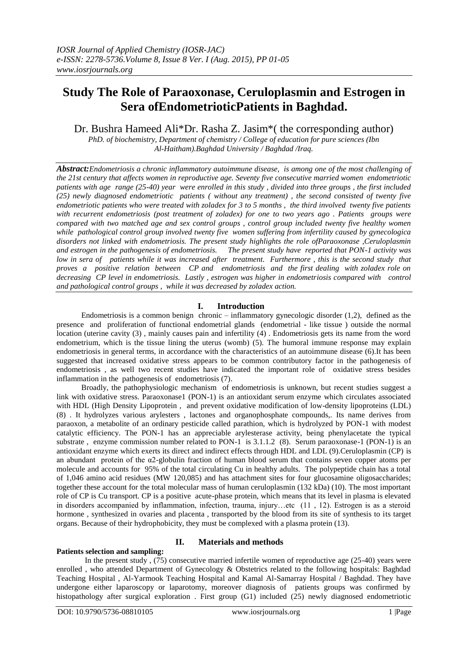# **Study The Role of Paraoxonase, Ceruloplasmin and Estrogen in Sera ofEndometrioticPatients in Baghdad.**

Dr. Bushra Hameed Ali\*Dr. Rasha Z. Jasim\*( the corresponding author)

*PhD. of biochemistry, Department of chemistry / College of education for pure sciences (Ibn Al-Haitham).Baghdad University / Baghdad /Iraq.*

*Abstract:Endometriosis a chronic inflammatory autoimmune disease, is among one of the most challenging of the 21st century that affects women in reproductive age. Seventy five consecutive married women endometriotic patients with age range (25-40) year were enrolled in this study , divided into three groups , the first included (25) newly diagnosed endometriotic patients ( without any treatment) , the second consisted of twenty five endometriotic patients who were treated with zoladex for 3 to 5 months , the third involved twenty five patients with recurrent endometriosis (post treatment of zoladex) for one to two years ago . Patients groups were compared with two matched age and sex control groups , control group included twenty five healthy women while pathological control group involved twenty five women suffering from infertility caused by gynecologica disorders not linked with endometriosis. The present study highlights the role ofParaoxonase ,Ceruloplasmin and estrogen in the pathogenesis of endometriosis. The present study have reported that PON-1 activity was low in sera of patients while it was increased after treatment. Furthermore , this is the second study that proves a positive relation between CP and endometriosis and the first dealing with zoladex role on decreasing CP level in endometriosis. Lastly , estrogen was higher in endometriosis compared with control and pathological control groups , while it was decreased by zoladex action.* 

# **I. Introduction**

Endometriosis is a common benign chronic – inflammatory gynecologic disorder (1,2), defined as the presence and proliferation of functional endometrial glands (endometrial - like tissue ) outside the normal location (uterine cavity (3) , mainly causes pain and infertility (4) . Endometriosis gets its name from the word endometrium, which is the tissue lining the uterus (womb) (5). The humoral immune response may explain endometriosis in general terms, in accordance with the characteristics of an autoimmune disease (6).It has been suggested that increased oxidative stress appears to be common contributory factor in the pathogenesis of endometriosis , as well two recent studies have indicated the important role of oxidative stress besides inflammation in the pathogenesis of endometriosis  $(7)$ .

Broadly, the pathophysiologic mechanism of endometriosis is unknown, but recent studies suggest a link with oxidative stress. Paraoxonase1 (PON-1) is an antioxidant serum enzyme which circulates associated with HDL (High Density Lipoprotein, and prevent oxidative modification of low-density lipoproteins (LDL) (8) . It hydrolyzes various arylesters , lactones and organophosphate compounds,. Its name derives from paraoxon, a metabolite of an ordinary pesticide called parathion, which is hydrolyzed by PON-1 with modest catalytic efficiency. The PON-1 has an appreciable arylesterase activity, being phenylacetate the typical substrate, enzyme commission number related to PON-1 is 3.1.1.2 (8). Serum paraoxonase-1 (PON-1) is an antioxidant enzyme which exerts its direct and indirect effects through HDL and LDL (9).Ceruloplasmin (CP) is an abundant protein of the  $\alpha$ 2-globulin fraction of human blood serum that contains seven copper atoms per molecule and accounts for 95% of the total circulating Cu in healthy adults. The polypeptide chain has a total of 1,046 amino acid residues (MW 120,085) and has attachment sites for four glucosamine oligosaccharides; together these account for the total molecular mass of human ceruloplasmin (132 kDa) (10). The most important role of CP is Cu transport. CP is a positive acute-phase protein, which means that its level in plasma is elevated in disorders accompanied by inflammation, infection, trauma, injury…etc  $(11, 12)$ . Estrogen is as a steroid hormone , synthesized in ovaries and placenta , transported by the blood from its site of synthesis to its target organs. Because of their hydrophobicity, they must be complexed with a plasma protein (13).

## **Patients selection and sampling:**

# **II. Materials and methods**

In the present study,  $(75)$  consecutive married infertile women of reproductive age  $(25-40)$  years were enrolled , who attended Department of Gynecology & Obstetrics related to the following hospitals: Baghdad Teaching Hospital , Al-Yarmook Teaching Hospital and Kamal Al-Samarray Hospital / Baghdad. They have undergone either laparoscopy or laparotomy, moreover diagnosis of patients groups was confirmed by histopathology after surgical exploration . First group (G1) included (25) newly diagnosed endometriotic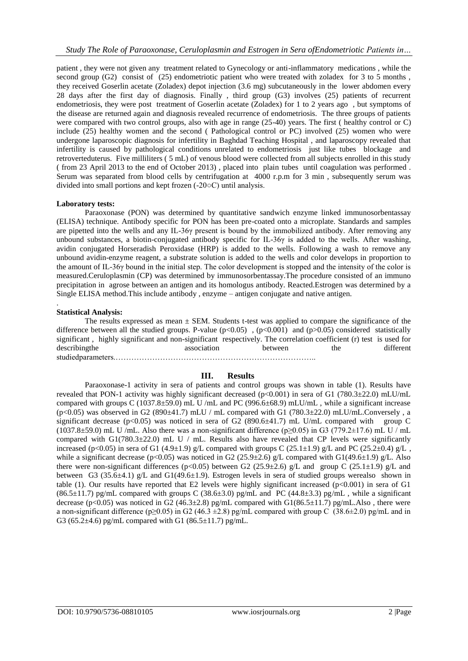patient , they were not given any treatment related to Gynecology or anti-inflammatory medications , while the second group (G2) consist of (25) endometriotic patient who were treated with zoladex for 3 to 5 months. they received Goserlin acetate (Zoladex) depot injection (3.6 mg) subcutaneously in the lower abdomen every 28 days after the first day of diagnosis. Finally , third group (G3) involves (25) patients of recurrent endometriosis, they were post treatment of Goserlin acetate (Zoladex) for 1 to 2 years ago , but symptoms of the disease are returned again and diagnosis revealed recurrence of endometriosis. The three groups of patients were compared with two control groups, also with age in range (25-40) years. The first ( healthy control or C) include (25) healthy women and the second ( Pathological control or PC) involved (25) women who were undergone laparoscopic diagnosis for infertility in Baghdad Teaching Hospital , and laparoscopy revealed that infertility is caused by pathological conditions unrelated to endometriosis just like tubes blockage and retroverteduterus. Five milliliters ( 5 mL) of venous blood were collected from all subjects enrolled in this study ( from 23 April 2013 to the end of October 2013) , placed into plain tubes until coagulation was performed . Serum was separated from blood cells by centrifugation at 4000 r.p.m for 3 min , subsequently serum was divided into small portions and kept frozen (-20○C) until analysis.

## **Laboratory tests:**

Paraoxonase (PON) was determined by quantitative sandwich enzyme linked immunosorbentassay (ELISA) technique. Antibody specific for PON has been pre-coated onto a microplate. Standards and samples are pipetted into the wells and any IL-36γ present is bound by the immobilized antibody. After removing any unbound substances, a biotin-conjugated antibody specific for IL-36γ is added to the wells. After washing, avidin conjugated Horseradish Peroxidase (HRP) is added to the wells. Following a wash to remove any unbound avidin-enzyme reagent, a substrate solution is added to the wells and color develops in proportion to the amount of IL-36γ bound in the initial step. The color development is stopped and the intensity of the color is measured.Ceruloplasmin (CP) was determined by immunosorbentassay.The procedure consisted of an immuno precipitation in agrose between an antigen and its homologus antibody. Reacted.Estrogen was determined by a Single ELISA method.This include antibody , enzyme – antigen conjugate and native antigen.

## **Statistical Analysis:**

.

The results expressed as mean  $\pm$  SEM. Students t-test was applied to compare the significance of the difference between all the studied groups. P-value  $(p<0.05)$ ,  $(p<0.001)$  and  $(p>0.05)$  considered statistically significant , highly significant and non-significant respectively. The correlation coefficient (r) test is used for describingthe association between the different studiedparameters.…………………………………………………………………..

## **III. Results**

Paraoxonase-1 activity in sera of patients and control groups was shown in table (1). Results have revealed that PON-1 activity was highly significant decreased ( $p<0.001$ ) in sera of G1 (780.3±22.0) mLU/mL compared with groups C (1037.8 $\pm$ 59.0) mL U /mL and PC (996.6 $\pm$ 68.9) mLU/mL, while a significant increase  $(p<0.05)$  was observed in G2 (890 $\pm$ 41.7) mLU / mL compared with G1 (780.3 $\pm$ 22.0) mLU/mL.Conversely, a significant decrease (p<0.05) was noticed in sera of G2 (890.6 $\pm$ 41.7) mL U/mL compared with group C  $(1037.8\pm59.0)$  mL U /mL. Also there was a non-significant difference (p≥0.05) in G3 (779.2 $\pm$ 17.6) mL U / mL compared with  $G1(780.3\pm 22.0)$  mL U / mL. Results also have revealed that CP levels were significantly increased (p<0.05) in sera of G1 (4.9±1.9) g/L compared with groups C (25.1±1.9) g/L and PC (25.2±0.4) g/L , while a significant decrease (p<0.05) was noticed in G2 (25.9±2.6) g/L compared with G1(49.6±1.9) g/L. Also there were non-significant differences (p<0.05) between G2 (25.9±2.6) g/L and group C (25.1±1.9) g/L and between G3 (35.6±4.1) g/L and G1(49.6±1.9). Estrogen levels in sera of studied groups werealso shown in table (1). Our results have reported that E2 levels were highly significant increased (p<0.001) in sera of G1 (86.5±11.7) pg/mL compared with groups C (38.6±3.0) pg/mL and PC (44.8±3.3) pg/mL, while a significant decrease (p<0.05) was noticed in G2 (46.3 $\pm$ 2.8) pg/mL compared with G1(86.5 $\pm$ 11.7) pg/mL.Also, there were a non-significant difference (p≥0.05) in G2 (46.3 ±2.8) pg/mL compared with group C (38.6±2.0) pg/mL and in G3 (65.2 $\pm$ 4.6) pg/mL compared with G1 (86.5 $\pm$ 11.7) pg/mL.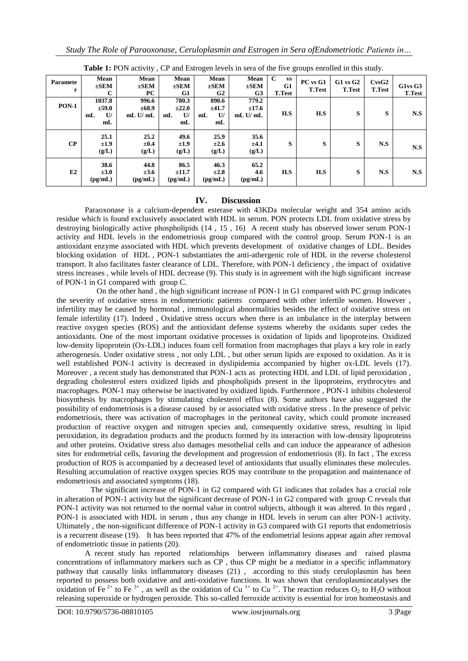| where $\mathbf{r}$ is the contrary $\mathbf{r}$ , which is the contrary of the contrary process $\mathbf{r}$ and $\mathbf{r}$ and $\mathbf{r}$ |                                                  |                                         |                                      |                                             |                                     |                                                 |                           |                               |                                                 |                         |
|------------------------------------------------------------------------------------------------------------------------------------------------|--------------------------------------------------|-----------------------------------------|--------------------------------------|---------------------------------------------|-------------------------------------|-------------------------------------------------|---------------------------|-------------------------------|-------------------------------------------------|-------------------------|
| Paramete<br>r                                                                                                                                  | Mean<br>$\pm$ SEM                                | Mean<br>$\pm$ SEM<br>PC.                | Mean<br>$\pm$ SEM<br>G1              | Mean<br>$\pm$ SEM<br>G2                     | Mean<br>$\pm$ SEM<br>G <sub>3</sub> | $\mathbf C$<br><b>VS</b><br>G1<br><b>T.Test</b> | PC vs G1<br><b>T.Test</b> | $G1$ vs $G2$<br><b>T.Test</b> | C <sub>VS</sub> G <sub>2</sub><br><b>T.Test</b> | G1vsG3<br><b>T.Test</b> |
| <b>PON-1</b>                                                                                                                                   | 1037.8<br>±59.0<br>U<br>mL<br>mL                 | 996.6<br>$\pm 68.9$<br>$mL$ U/ $mL$     | 780.3<br>$\pm 22.0$<br>U<br>mL<br>mL | 890.6<br>±41.7<br>U<br>m <sub>L</sub><br>mL | 779.2<br>±17.6<br>$mL$ U/ $mL$      | H.S                                             | H.S                       | S                             | S                                               | N.S                     |
| CP                                                                                                                                             | 25.1<br>±1.9<br>(g/L)                            | 25.2<br>$\pm 0.4$<br>(g/L)              | 49.6<br>±1.9<br>(g/L)                | 25.9<br>$\pm 2.6$<br>(g/L)                  | 35.6<br>±4.1<br>(g/L)               | S                                               | S                         | S                             | N.S                                             | N.S                     |
| E2                                                                                                                                             | 38.6<br>$\pm 3.0$<br>$\left(\text{pg/mL}\right)$ | 44.8<br>$\pm 3.6$<br>$\textbf{(pg/mL)}$ | 86.5<br>±11.7<br>$\textbf{(pg/mL)}$  | 46.3<br>$\pm 2.8$<br>$\textbf{(pg/mL)}$     | 65.2<br>4.6<br>$\text{(pg/mL)}$     | H.S                                             | H.S                       | S                             | N.S                                             | N.S                     |

**Table 1:** PON activity , CP and Estrogen levels in sera of the five groups enrolled in this study.

## **IV. Discussion**

Paraoxonase is a calcium-dependent esterase with 43KDa molecular weight and 354 amino acids residue which is found exclusively associated with HDL in serum. PON protects LDL from oxidative stress by destroying biologically active phospholipids (14 , 15 , 16) A recent study has observed lower serum PON-1 activity and HDL levels in the endometriosis group compared with the control group. Serum PON-1 is an antioxidant enzyme associated with HDL which prevents development of oxidative changes of LDL. Besides blocking oxidation of HDL , PON-1 substantiates the anti-athergenic role of HDL in the reverse cholesterol transport. It also facilitates faster clearance of LDL. Therefore, with PON-1 deficiency , the impact of oxidative stress increases , while levels of HDL decrease (9). This study is in agreement with the high significant increase of PON-1 in G1 compared with group C.

 On the other hand , the high significant increase of PON-1 in G1 compared with PC group indicates the severity of oxidative stress in endometriotic patients compared with other infertile women. However , infertility may be caused by hormonal , immunological abnormalities besides the effect of oxidative stress on female infertility (17). Indeed , Oxidative stress occurs when there is an imbalance in the interplay between reactive oxygen species (ROS) and the antioxidant defense systems whereby the oxidants super cedes the antioxidants. One of the most important oxidative processes is oxidation of lipids and lipoproteins. Oxidized low-density lipoprotein (Ox-LDL) induces foam cell formation from macrophages that plays a key role in early atherogenesis. Under oxidative stress , not only LDL , but other serum lipids are exposed to oxidation. As it is well established PON-1 activity is decreased in dyslipidemia accompanied by higher ox-LDL levels (17). Moreover , a recent study has demonstrated that PON-1 acts as protecting HDL and LDL of lipid peroxidation , degrading cholesterol esters oxidized lipids and phospholipids present in the lipoproteins, erythrocytes and macrophages. PON-1 may otherwise be inactivated by oxidized lipids. Furthermore , PON-1 inhibits cholesterol biosynthesis by macrophages by stimulating cholesterol efflux (8). Some authors have also suggested the possibility of endometriosis is a disease caused by or associated with oxidative stress . In the presence of pelvic endometriosis, there was activation of macrophages in the peritoneal cavity, which could promote increased production of reactive oxygen and nitrogen species and, consequently oxidative stress, resulting in lipid peroxidation, its degradation products and the products formed by its interaction with low-density lipoproteins and other proteins. Oxidative stress also damages mesothelial cells and can induce the appearance of adhesion sites for endometrial cells, favoring the development and progression of endometriosis (8). In fact , The excess production of ROS is accompanied by a decreased level of antioxidants that usually eliminates these molecules. Resulting accumulation of reactive oxygen species ROS may contribute to the propagation and maintenance of endometriosis and associated symptoms (18).

 The significant increase of PON-1 in G2 compared with G1 indicates that zoladex has a crucial role in alteration of PON-1 activity but the significant decrease of PON-1 in G2 compared with group C reveals that PON-1 activity was not returned to the normal value in control subjects, although it was altered. In this regard , PON-1 is associated with HDL in serum , thus any change in HDL levels in serum can alter PON-1 activity. Ultimately , the non-significant difference of PON-1 activity in G3 compared with G1 reports that endometriosis is a recurrent disease (19). It has been reported that 47% of the endometrial lesions appear again after removal of endometriotic tissue in patients (20).

A recent study has reported relationships between inflammatory diseases and raised plasma concentrations of inflammatory markers such as CP , thus CP might be a mediator in a specific inflammatory pathway that causally links inflammatory diseases (21) , according to this study ceruloplasmin has been reported to possess both oxidative and anti-oxidative functions. It was shown that ceruloplasmincatalyses the oxidation of Fe<sup>2+</sup> to Fe<sup>3+</sup>, as well as the oxidation of Cu<sup>1+</sup> to Cu<sup>2+</sup>. The reaction reduces O<sub>2</sub> to H<sub>2</sub>O without releasing superoxide or hydrogen peroxide. This so-called ferroxide activity is essential for iron homeostasis and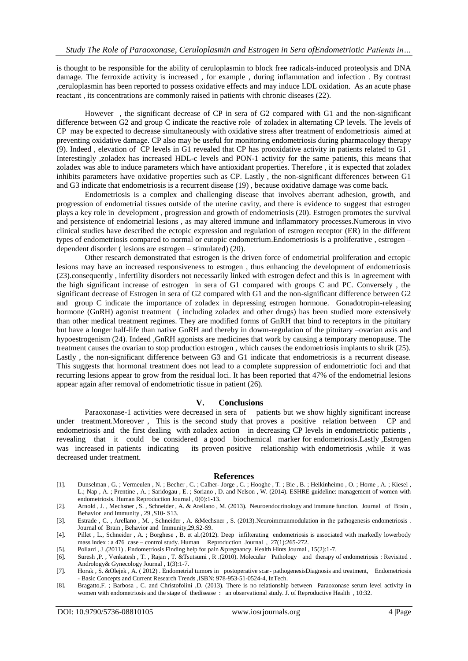is thought to be responsible for the ability of ceruloplasmin to block free radicals-induced proteolysis and DNA damage. The ferroxide activity is increased , for example , during inflammation and infection . By contrast ,ceruloplasmin has been reported to possess oxidative effects and may induce LDL oxidation. As an acute phase reactant , its concentrations are commonly raised in patients with chronic diseases (22).

However , the significant decrease of CP in sera of G2 compared with G1 and the non-significant difference between G2 and group C indicate the reactive role of zoladex in alternating CP levels. The levels of CP may be expected to decrease simultaneously with oxidative stress after treatment of endometriosis aimed at preventing oxidative damage. CP also may be useful for monitoring endometriosis during pharmacology therapy (9). Indeed , elevation of CP levels in G1 revealed that CP has prooxidative activity in patients related to G1 . Interestingly ,zoladex has increased HDL-c levels and PON-1 activity for the same patients, this means that zoladex was able to induce parameters which have antioxidant properties. Therefore , it is expected that zoladex inhibits parameters have oxidative properties such as CP. Lastly , the non-significant differences between G1 and G3 indicate that endometriosis is a recurrent disease (19) , because oxidative damage was come back.

Endometriosis is a complex and challenging disease that involves aberrant adhesion, growth, and progression of endometrial tissues outside of the uterine cavity, and there is evidence to suggest that estrogen plays a key role in development , progression and growth of endometriosis (20). Estrogen promotes the survival and persistence of endometrial lesions , as may altered immune and inflammatory processes.Numerous in vivo clinical studies have described the ectopic expression and regulation of estrogen receptor (ER) in the different types of endometriosis compared to normal or eutopic endometrium.Endometriosis is a proliferative , estrogen – dependent disorder ( lesions are estrogen – stimulated) (20).

Other research demonstrated that estrogen is the driven force of endometrial proliferation and ectopic lesions may have an increased responsiveness to estrogen , thus enhancing the development of endometriosis (23).consequently , infertility disorders not necessarily linked with estrogen defect and this is in agreement with the high significant increase of estrogen in sera of G1 compared with groups C and PC. Conversely , the significant decrease of Estrogen in sera of G2 compared with G1 and the non-significant difference between G2 and group C indicate the importance of zoladex in depressing estrogen hormone. Gonadotropin-releasing hormone (GnRH) agonist treatment ( including zoladex and other drugs) has been studied more extensively than other medical treatment regimes. They are modified forms of GnRH that bind to receptors in the pituitary but have a longer half-life than native GnRH and thereby in dowm-regulation of the pituitary –ovarian axis and hypoestrogenism (24). Indeed ,GnRH agonists are medicines that work by causing a temporary menopause. The treatment causes the ovarian to stop production estrogen , which causes the endometriosis implants to shrik (25). Lastly , the non-significant difference between G3 and G1 indicate that endometriosis is a recurrent disease. This suggests that hormonal treatment does not lead to a complete suppression of endometriotic foci and that recurring lesions appear to grow from the residual loci. It has been reported that 47% of the endometrial lesions appear again after removal of endometriotic tissue in patient (26).

### **V. Conclusions**

Paraoxonase-1 activities were decreased in sera of patients but we show highly significant increase under treatment.Moreover , This is the second study that proves a positive relation between CP and endometriosis and the first dealing with zoladex action in decreasing CP levels in endometriotic patients , revealing that it could be considered a good biochemical marker for endometriosis.Lastly ,Estrogen was increased in patients indicating its proven positive relationship with endometriosis ,while it was decreased under treatment.

#### **References**

- [1]. Dunselman , G. ; Vermeulen , N. ; Becher , C. ; Calher- Jorge , C. ; Hooghe , T. ; Bie , B. ; Heikinheimo , O. ; Horne , A. ; Kiesel , L.; Nap , A. ; Prentine , A. ; Saridogau , E. ; Soriano , D. and Nelson , W. (2014). ESHRE guideline: management of women with endometriosis. Human Reproduction Journal , 0(0):1-13.
- [2]. Arnold , J. , Mechsner , S. , Schneider , A. & Arellano , M. (2013). Neuroendocrinology and immune function. Journal of Brain , Behavior and Immunity , 29 ,S10- S13.
- [3]. Estrade , C. , Arellano , M. , Schneider , A. &Mechsner , S. (2013).Neuroimmunmodulation in the pathogenesis endometriosis . Journal of Brain , Behavior and Immunity,29,S2-S9.
- [4]. Pillet , L., Schneider , A. ; Borghese , B. et al.(2012). Deep infilterating endometriosis is associated with markedly lowerbody mass index : a 476 case – control study. Human Reproduction Journal , 27(1):265-272.
- [5]. Pollard , J .(2011) . Endometriosis Finding help for pain &pregnancy. Health Hints Journal , 15(2):1-7.
- [6]. Suresh ,P. , Venkatesh , T. , Rajan , T. &Tsutsumi , R .(2010). Molecular Pathology and therapy of endometriosis : Revisited . Andrology& Gynecology Journal , 1(3):1-7.
- [7]. Horak , S. &Olejek , A. ( 2012) . Endometrial tumors in postoperative scar- pathogenesisDiagnosis and treatment, Endometriosis - Basic Concepts and Current Research Trends ,ISBN: 978-953-51-0524-4, InTech.
- [8]. Bragatto,F. ; Barbosa , C. and Christofolini ,D. (2013). There is no relationship between Paraoxonase serum level activity in women with endometriosis and the stage of thedisease : an observational study. J. of Reproductive Health , 10:32.